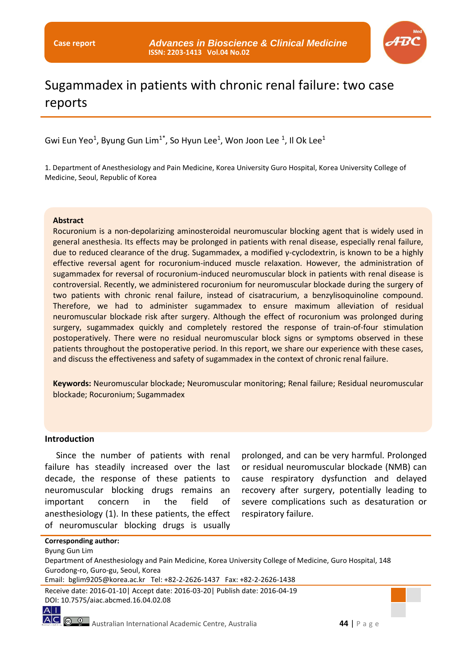

# Sugammadex in patients with chronic renal failure: two case reports

Gwi Eun Yeo<sup>1</sup>, Byung Gun Lim<sup>1\*</sup>, So Hyun Lee<sup>1</sup>, Won Joon Lee <sup>1</sup>, Il Ok Lee<sup>1</sup>

1. Department of Anesthesiology and Pain Medicine, Korea University Guro Hospital, Korea University College of Medicine, Seoul, Republic of Korea

#### **Abstract**

Rocuronium is a non-depolarizing aminosteroidal neuromuscular blocking agent that is widely used in general anesthesia. Its effects may be prolonged in patients with renal disease, especially renal failure, due to reduced clearance of the drug. Sugammadex, a modified γ-cyclodextrin, is known to be a highly effective reversal agent for rocuronium-induced muscle relaxation. However, the administration of sugammadex for reversal of rocuronium-induced neuromuscular block in patients with renal disease is controversial. Recently, we administered rocuronium for neuromuscular blockade during the surgery of two patients with chronic renal failure, instead of cisatracurium, a benzylisoquinoline compound. Therefore, we had to administer sugammadex to ensure maximum alleviation of residual neuromuscular blockade risk after surgery. Although the effect of rocuronium was prolonged during surgery, sugammadex quickly and completely restored the response of train-of-four stimulation postoperatively. There were no residual neuromuscular block signs or symptoms observed in these patients throughout the postoperative period. In this report, we share our experience with these cases, and discuss the effectiveness and safety of sugammadex in the context of chronic renal failure.

**Keywords:** Neuromuscular blockade; Neuromuscular monitoring; Renal failure; Residual neuromuscular blockade; Rocuronium; Sugammadex

#### **Introduction**

Since the number of patients with renal failure has steadily increased over the last decade, the response of these patients to neuromuscular blocking drugs remains an important concern in the field of anesthesiology (1). In these patients, the effect of neuromuscular blocking drugs is usually

prolonged, and can be very harmful. Prolonged or residual neuromuscular blockade (NMB) can cause respiratory dysfunction and delayed recovery after surgery, potentially leading to severe complications such as desaturation or respiratory failure.

#### **Corresponding author:**

Byung Gun Lim

Department of Anesthesiology and Pain Medicine, Korea University College of Medicine, Guro Hospital, 148 Gurodong-ro, Guro-gu, Seoul, Korea

Email: bglim9205@korea.ac.kr Tel: +82-2-2626-1437 Fax: +82-2-2626-1438

Receive date: 2016-01-10| Accept date: 2016-03-20| Publish date: 2016-04-19 DOI: 10.7575/aiac.abcmed.16.04.02.08

 $A$ |

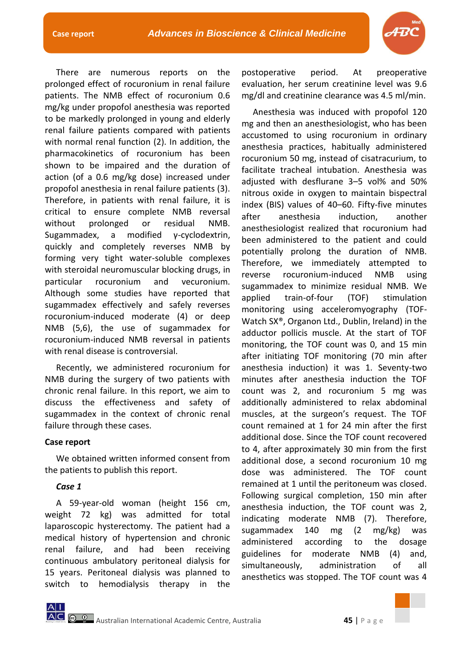There are numerous reports on the prolonged effect of rocuronium in renal failure patients. The NMB effect of rocuronium 0.6 mg/kg under propofol anesthesia was reported to be markedly prolonged in young and elderly renal failure patients compared with patients with normal renal function (2). In addition, the pharmacokinetics of rocuronium has been shown to be impaired and the duration of action (of a 0.6 mg/kg dose) increased under propofol anesthesia in renal failure patients (3). Therefore, in patients with renal failure, it is critical to ensure complete NMB reversal without prolonged or residual NMB. Sugammadex, a modified γ-cyclodextrin, quickly and completely reverses NMB by forming very tight water-soluble complexes with steroidal neuromuscular blocking drugs, in particular rocuronium and vecuronium. Although some studies have reported that sugammadex effectively and safely reverses rocuronium-induced moderate (4) or deep NMB (5,6), the use of sugammadex for rocuronium-induced NMB reversal in patients with renal disease is controversial.

Recently, we administered rocuronium for NMB during the surgery of two patients with chronic renal failure. In this report, we aim to discuss the effectiveness and safety of sugammadex in the context of chronic renal failure through these cases.

# **Case report**

We obtained written informed consent from the patients to publish this report.

# *Case 1*

A 59-year-old woman (height 156 cm, weight 72 kg) was admitted for total laparoscopic hysterectomy. The patient had a medical history of hypertension and chronic renal failure, and had been receiving continuous ambulatory peritoneal dialysis for 15 years. Peritoneal dialysis was planned to switch to hemodialysis therapy in the postoperative period. At preoperative evaluation, her serum creatinine level was 9.6 mg/dl and creatinine clearance was 4.5 ml/min.

Anesthesia was induced with propofol 120 mg and then an anesthesiologist, who has been accustomed to using rocuronium in ordinary anesthesia practices, habitually administered rocuronium 50 mg, instead of cisatracurium, to facilitate tracheal intubation. Anesthesia was adjusted with desflurane 3–5 vol% and 50% nitrous oxide in oxygen to maintain bispectral index (BIS) values of 40–60. Fifty-five minutes after anesthesia induction, another anesthesiologist realized that rocuronium had been administered to the patient and could potentially prolong the duration of NMB. Therefore, we immediately attempted to reverse rocuronium-induced NMB using sugammadex to minimize residual NMB. We applied train-of-four (TOF) stimulation monitoring using acceleromyography (TOF-Watch SX®, Organon Ltd., Dublin, Ireland) in the adductor pollicis muscle. At the start of TOF monitoring, the TOF count was 0, and 15 min after initiating TOF monitoring (70 min after anesthesia induction) it was 1. Seventy-two minutes after anesthesia induction the TOF count was 2, and rocuronium 5 mg was additionally administered to relax abdominal muscles, at the surgeon's request. The TOF count remained at 1 for 24 min after the first additional dose. Since the TOF count recovered to 4, after approximately 30 min from the first additional dose, a second rocuronium 10 mg dose was administered. The TOF count remained at 1 until the peritoneum was closed. Following surgical completion, 150 min after anesthesia induction, the TOF count was 2, indicating moderate NMB (7). Therefore, sugammadex 140 mg (2 mg/kg) was administered according to the dosage guidelines for moderate NMB (4) and, simultaneously, administration of all anesthetics was stopped. The TOF count was 4

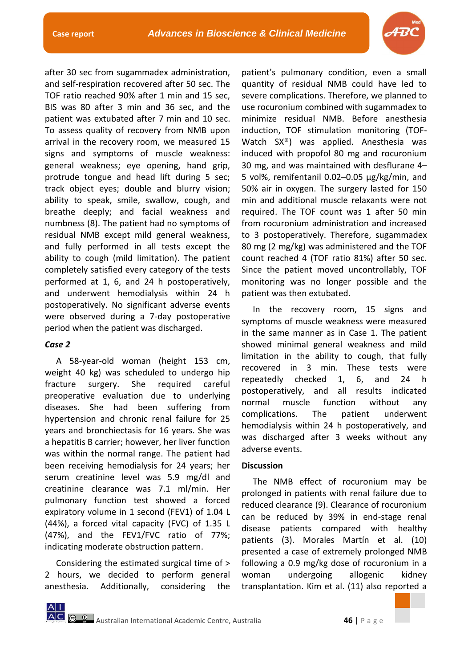

after 30 sec from sugammadex administration, and self-respiration recovered after 50 sec. The TOF ratio reached 90% after 1 min and 15 sec, BIS was 80 after 3 min and 36 sec, and the patient was extubated after 7 min and 10 sec. To assess quality of recovery from NMB upon arrival in the recovery room, we measured 15 signs and symptoms of muscle weakness: general weakness; eye opening, hand grip, protrude tongue and head lift during 5 sec; track object eyes; double and blurry vision; ability to speak, smile, swallow, cough, and breathe deeply; and facial weakness and numbness (8). The patient had no symptoms of residual NMB except mild general weakness, and fully performed in all tests except the ability to cough (mild limitation). The patient completely satisfied every category of the tests performed at 1, 6, and 24 h postoperatively, and underwent hemodialysis within 24 h postoperatively. No significant adverse events were observed during a 7-day postoperative period when the patient was discharged.

# *Case 2*

A 58-year-old woman (height 153 cm, weight 40 kg) was scheduled to undergo hip fracture surgery. She required careful preoperative evaluation due to underlying diseases. She had been suffering from hypertension and chronic renal failure for 25 years and bronchiectasis for 16 years. She was a hepatitis B carrier; however, her liver function was within the normal range. The patient had been receiving hemodialysis for 24 years; her serum creatinine level was 5.9 mg/dl and creatinine clearance was 7.1 ml/min. Her pulmonary function test showed a forced expiratory volume in 1 second (FEV1) of 1.04 L (44%), a forced vital capacity (FVC) of 1.35 L (47%), and the FEV1/FVC ratio of 77%; indicating moderate obstruction pattern.

Considering the estimated surgical time of > 2 hours, we decided to perform general anesthesia. Additionally, considering the

patient's pulmonary condition, even a small quantity of residual NMB could have led to severe complications. Therefore, we planned to use rocuronium combined with sugammadex to minimize residual NMB. Before anesthesia induction, TOF stimulation monitoring (TOF-Watch SX®) was applied. Anesthesia was induced with propofol 80 mg and rocuronium 30 mg, and was maintained with desflurane 4– 5 vol%, remifentanil 0.02–0.05 µg/kg/min, and 50% air in oxygen. The surgery lasted for 150 min and additional muscle relaxants were not required. The TOF count was 1 after 50 min from rocuronium administration and increased to 3 postoperatively. Therefore, sugammadex 80 mg (2 mg/kg) was administered and the TOF count reached 4 (TOF ratio 81%) after 50 sec. Since the patient moved uncontrollably, TOF monitoring was no longer possible and the patient was then extubated.

In the recovery room, 15 signs and symptoms of muscle weakness were measured in the same manner as in Case 1. The patient showed minimal general weakness and mild limitation in the ability to cough, that fully recovered in 3 min. These tests were repeatedly checked 1, 6, and 24 h postoperatively, and all results indicated normal muscle function without any complications. The patient underwent hemodialysis within 24 h postoperatively, and was discharged after 3 weeks without any adverse events.

# **Discussion**

The NMB effect of rocuronium may be prolonged in patients with renal failure due to reduced clearance (9). Clearance of rocuronium can be reduced by 39% in end-stage renal disease patients compared with healthy patients (3). Morales Martín et al. (10) presented a case of extremely prolonged NMB following a 0.9 mg/kg dose of rocuronium in a woman undergoing allogenic kidney transplantation. Kim et al. (11) also reported a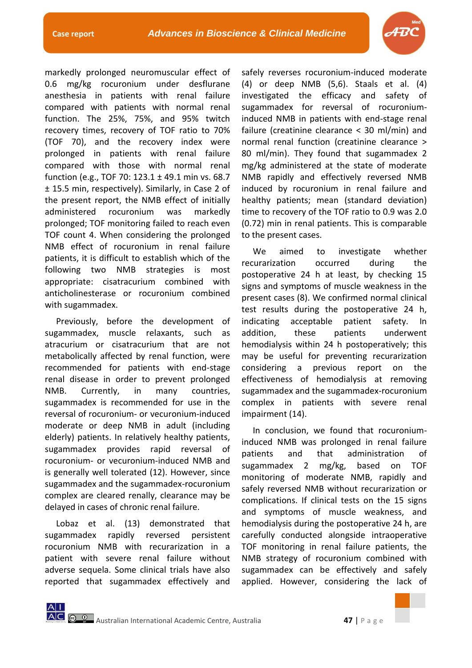

markedly prolonged neuromuscular effect of 0.6 mg/kg rocuronium under desflurane anesthesia in patients with renal failure compared with patients with normal renal function. The 25%, 75%, and 95% twitch recovery times, recovery of TOF ratio to 70% (TOF 70), and the recovery index were prolonged in patients with renal failure compared with those with normal renal function (e.g., TOF 70: 123.1 ± 49.1 min vs. 68.7 ± 15.5 min, respectively). Similarly, in Case 2 of the present report, the NMB effect of initially administered rocuronium was markedly prolonged; TOF monitoring failed to reach even TOF count 4. When considering the prolonged NMB effect of rocuronium in renal failure patients, it is difficult to establish which of the following two NMB strategies is most appropriate: cisatracurium combined with anticholinesterase or rocuronium combined with sugammadex.

Previously, before the development of sugammadex, muscle relaxants, such as atracurium or cisatracurium that are not metabolically affected by renal function, were recommended for patients with end-stage renal disease in order to prevent prolonged NMB. Currently, in many countries, sugammadex is recommended for use in the reversal of rocuronium- or vecuronium-induced moderate or deep NMB in adult (including elderly) patients. In relatively healthy patients, sugammadex provides rapid reversal of rocuronium- or vecuronium-induced NMB and is generally well tolerated (12). However, since sugammadex and the sugammadex-rocuronium complex are cleared renally, clearance may be delayed in cases of chronic renal failure.

Lobaz et al. (13) demonstrated that sugammadex rapidly reversed persistent rocuronium NMB with recurarization in a patient with severe renal failure without adverse sequela. Some clinical trials have also reported that sugammadex effectively and safely reverses rocuronium-induced moderate (4) or deep NMB (5,6). Staals et al. (4) investigated the efficacy and safety of sugammadex for reversal of rocuroniuminduced NMB in patients with end-stage renal failure (creatinine clearance < 30 ml/min) and normal renal function (creatinine clearance > 80 ml/min). They found that sugammadex 2 mg/kg administered at the state of moderate NMB rapidly and effectively reversed NMB induced by rocuronium in renal failure and healthy patients; mean (standard deviation) time to recovery of the TOF ratio to 0.9 was 2.0 (0.72) min in renal patients. This is comparable to the present cases.

We aimed to investigate whether recurarization occurred during the postoperative 24 h at least, by checking 15 signs and symptoms of muscle weakness in the present cases (8). We confirmed normal clinical test results during the postoperative 24 h, indicating acceptable patient safety. In addition, these patients underwent hemodialysis within 24 h postoperatively; this may be useful for preventing recurarization considering a previous report on the effectiveness of hemodialysis at removing sugammadex and the sugammadex-rocuronium complex in patients with severe renal impairment (14).

In conclusion, we found that rocuroniuminduced NMB was prolonged in renal failure patients and that administration of sugammadex 2 mg/kg, based on TOF monitoring of moderate NMB, rapidly and safely reversed NMB without recurarization or complications. If clinical tests on the 15 signs and symptoms of muscle weakness, and hemodialysis during the postoperative 24 h, are carefully conducted alongside intraoperative TOF monitoring in renal failure patients, the NMB strategy of rocuronium combined with sugammadex can be effectively and safely applied. However, considering the lack of